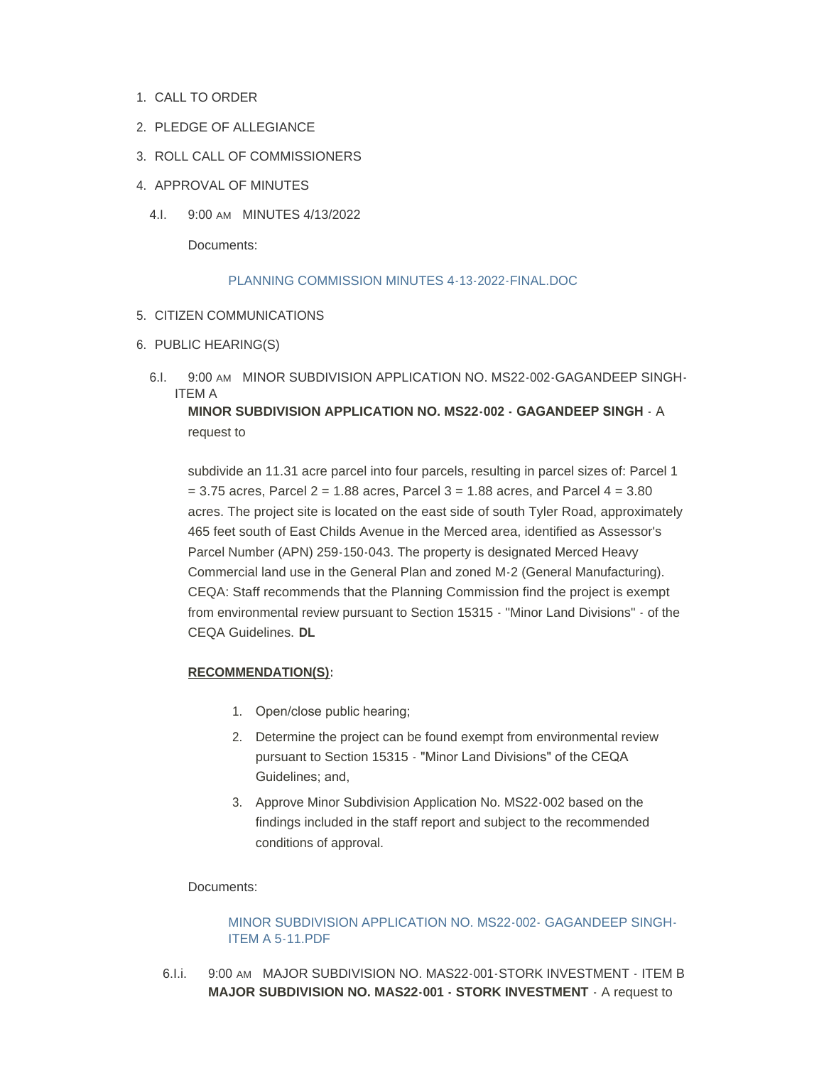- 1. CALL TO ORDER
- 2. PLEDGE OF ALLEGIANCE
- 3. ROLL CALL OF COMMISSIONERS
- 4. APPROVAL OF MINUTES
	- 4.I. 9:00 AM MINUTES 4/13/2022

Documents:

### [PLANNING COMMISSION MINUTES 4-13-2022-FINAL.DOC](https://www.countyofmerced.com/AgendaCenter/ViewFile/Item/1838?fileID=20806)

- 5. CITIZEN COMMUNICATIONS
- 6. PUBLIC HEARING(S)
	- 6.I. 9:00 AM MINOR SUBDIVISION APPLICATION NO. MS22-002-GAGANDEEP SINGH-ITEM A **MINOR SUBDIVISION APPLICATION NO. MS22-002 - GAGANDEEP SINGH** - A

request to

subdivide an 11.31 acre parcel into four parcels, resulting in parcel sizes of: Parcel 1  $= 3.75$  acres, Parcel 2 = 1.88 acres, Parcel 3 = 1.88 acres, and Parcel 4 = 3.80 acres. The project site is located on the east side of south Tyler Road, approximately 465 feet south of East Childs Avenue in the Merced area, identified as Assessor's Parcel Number (APN) 259-150-043. The property is designated Merced Heavy Commercial land use in the General Plan and zoned M-2 (General Manufacturing). CEQA: Staff recommends that the Planning Commission find the project is exempt from environmental review pursuant to Section 15315 - "Minor Land Divisions" - of the CEQA Guidelines. **DL**

# **RECOMMENDATION(S):**

- 1. Open/close public hearing;
- 2. Determine the project can be found exempt from environmental review pursuant to Section 15315 - "Minor Land Divisions" of the CEQA Guidelines; and,
- 3. Approve Minor Subdivision Application No. MS22-002 based on the findings included in the staff report and subject to the recommended conditions of approval.

### Documents:

# [MINOR SUBDIVISION APPLICATION NO. MS22-002- GAGANDEEP SINGH-](https://www.countyofmerced.com/AgendaCenter/ViewFile/Item/1835?fileID=20799)ITEM A 5-11.PDF

6.I.i. 9:00 AM MAJOR SUBDIVISION NO. MAS22-001-STORK INVESTMENT - ITEM B **MAJOR SUBDIVISION NO. MAS22-001 - STORK INVESTMENT** - A request to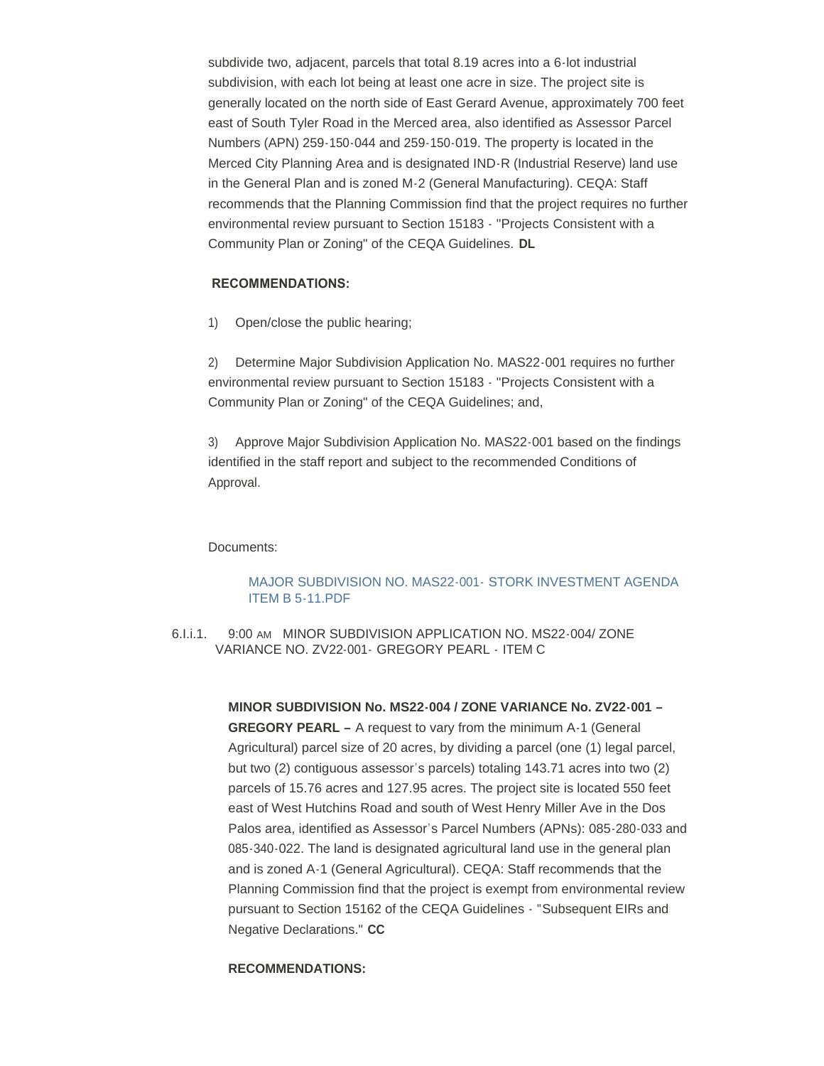subdivide two, adjacent, parcels that total 8.19 acres into a 6-lot industrial subdivision, with each lot being at least one acre in size. The project site is generally located on the north side of East Gerard Avenue, approximately 700 feet east of South Tyler Road in the Merced area, also identified as Assessor Parcel Numbers (APN) 259-150-044 and 259-150-019. The property is located in the Merced City Planning Area and is designated IND-R (Industrial Reserve) land use in the General Plan and is zoned M-2 (General Manufacturing). CEQA: Staff recommends that the Planning Commission find that the project requires no further environmental review pursuant to Section 15183 - "Projects Consistent with a Community Plan or Zoning" of the CEQA Guidelines. **DL**

#### **RECOMMENDATIONS:**

1) Open/close the public hearing;

2) Determine Major Subdivision Application No. MAS22-001 requires no further environmental review pursuant to Section 15183 - "Projects Consistent with a Community Plan or Zoning" of the CEQA Guidelines; and,

3) Approve Major Subdivision Application No. MAS22-001 based on the findings identified in the staff report and subject to the recommended Conditions of Approval.

#### Documents:

### [MAJOR SUBDIVISION NO. MAS22-001-](https://www.countyofmerced.com/AgendaCenter/ViewFile/Item/1836?fileID=20800) STORK INVESTMENT AGENDA ITEM B 5-11.PDF

6.I.i.1. 9:00 AM MINOR SUBDIVISION APPLICATION NO. MS22-004/ ZONE VARIANCE NO. ZV22-001- GREGORY PEARL - ITEM C

> **MINOR SUBDIVISION No. MS22-004 / ZONE VARIANCE No. ZV22-001 – GREGORY PEARL –** A request to vary from the minimum A-1 (General Agricultural) parcel size of 20 acres, by dividing a parcel (one (1) legal parcel, but two (2) contiguous assessor's parcels) totaling 143.71 acres into two (2) parcels of 15.76 acres and 127.95 acres. The project site is located 550 feet east of West Hutchins Road and south of West Henry Miller Ave in the Dos Palos area, identified as Assessor's Parcel Numbers (APNs): 085-280-033 and 085-340-022. The land is designated agricultural land use in the general plan and is zoned A-1 (General Agricultural). CEQA: Staff recommends that the Planning Commission find that the project is exempt from environmental review pursuant to Section 15162 of the CEQA Guidelines - "Subsequent EIRs and Negative Declarations." **CC**

#### **RECOMMENDATIONS:**